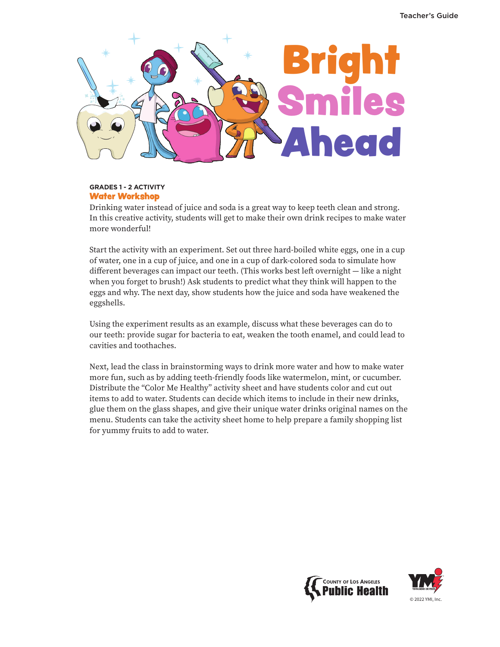

## **GRADES 1 - 2 ACTIVITY** Water Workshop

Drinking water instead of juice and soda is a great way to keep teeth clean and strong. In this creative activity, students will get to make their own drink recipes to make water more wonderful!

Start the activity with an experiment. Set out three hard-boiled white eggs, one in a cup of water, one in a cup of juice, and one in a cup of dark-colored soda to simulate how different beverages can impact our teeth. (This works best left overnight — like a night when you forget to brush!) Ask students to predict what they think will happen to the eggs and why. The next day, show students how the juice and soda have weakened the eggshells.

Using the experiment results as an example, discuss what these beverages can do to our teeth: provide sugar for bacteria to eat, weaken the tooth enamel, and could lead to cavities and toothaches.

Next, lead the class in brainstorming ways to drink more water and how to make water more fun, such as by adding teeth-friendly foods like watermelon, mint, or cucumber. Distribute the "Color Me Healthy" activity sheet and have students color and cut out items to add to water. Students can decide which items to include in their new drinks, glue them on the glass shapes, and give their unique water drinks original names on the menu. Students can take the activity sheet home to help prepare a family shopping list for yummy fruits to add to water.



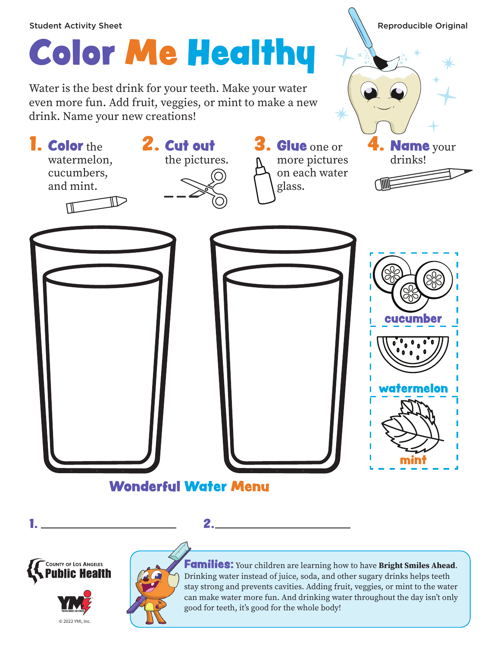## **1. Color** the watermelon, cucumbers, and mint. 2. Cut out the pictures. 3. Glue one or more pictures on each water glass. Name your drinks! Color Me Healthy Student Activity Sheet **Reproducible Original** Water is the best drink for your teeth. Make your water even more fun. Add fruit, veggies, or mint to make a new drink. Name your new creations! Wonderful Water Menu cucumber watermelon mint









Families: Your children are learning how to have Bright Smiles Ahead. Drinking water instead of juice, soda, and other sugary drinks helps teeth stay strong and prevents cavities. Adding fruit, veggies, or mint to the water can make water more fun. And drinking water throughout the day isn't only good for teeth, it's good for the whole body!